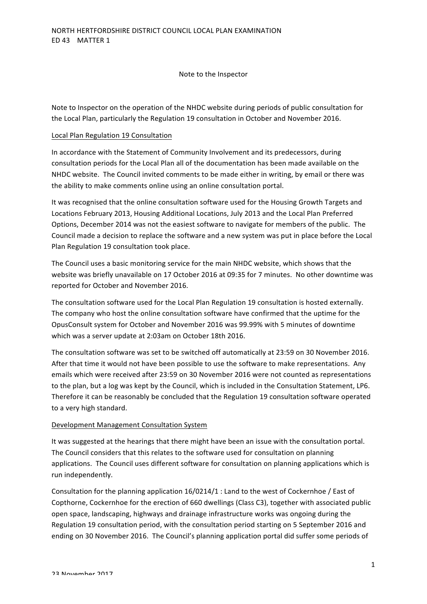Note to the Inspector

Note to Inspector on the operation of the NHDC website during periods of public consultation for the Local Plan, particularly the Regulation 19 consultation in October and November 2016.

## Local Plan Regulation 19 Consultation

In accordance with the Statement of Community Involvement and its predecessors, during consultation periods for the Local Plan all of the documentation has been made available on the NHDC website. The Council invited comments to be made either in writing, by email or there was the ability to make comments online using an online consultation portal.

It was recognised that the online consultation software used for the Housing Growth Targets and Locations February 2013, Housing Additional Locations, July 2013 and the Local Plan Preferred Options, December 2014 was not the easiest software to navigate for members of the public. The Council made a decision to replace the software and a new system was put in place before the Local Plan Regulation 19 consultation took place.

The Council uses a basic monitoring service for the main NHDC website, which shows that the website was briefly unavailable on 17 October 2016 at 09:35 for 7 minutes. No other downtime was reported for October and November 2016.

The consultation software used for the Local Plan Regulation 19 consultation is hosted externally. The company who host the online consultation software have confirmed that the uptime for the OpusConsult system for October and November 2016 was 99.99% with 5 minutes of downtime which was a server update at 2:03am on October 18th 2016.

The consultation software was set to be switched off automatically at 23:59 on 30 November 2016. After that time it would not have been possible to use the software to make representations. Any emails which were received after 23:59 on 30 November 2016 were not counted as representations to the plan, but a log was kept by the Council, which is included in the Consultation Statement, LP6. Therefore it can be reasonably be concluded that the Regulation 19 consultation software operated to a very high standard.

## Development Management Consultation System

It was suggested at the hearings that there might have been an issue with the consultation portal. The Council considers that this relates to the software used for consultation on planning applications. The Council uses different software for consultation on planning applications which is run independently.

Consultation for the planning application  $16/0214/1$  : Land to the west of Cockernhoe / East of Copthorne, Cockernhoe for the erection of 660 dwellings (Class C3), together with associated public open space, landscaping, highways and drainage infrastructure works was ongoing during the Regulation 19 consultation period, with the consultation period starting on 5 September 2016 and ending on 30 November 2016. The Council's planning application portal did suffer some periods of